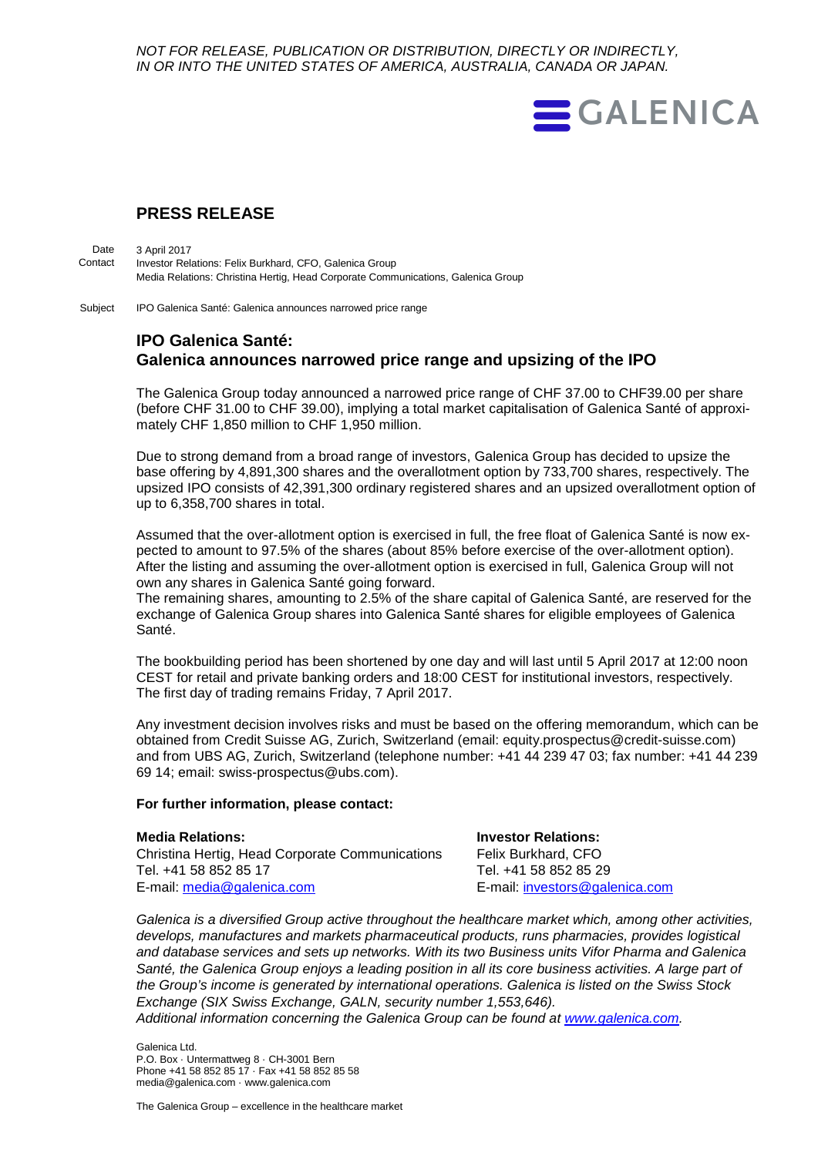*NOT FOR RELEASE, PUBLICATION OR DISTRIBUTION, DIRECTLY OR INDIRECTLY, IN OR INTO THE UNITED STATES OF AMERICA, AUSTRALIA, CANADA OR JAPAN.*



## **PRESS RELEASE**

3 April 2017 Investor Relations: Felix Burkhard, CFO, Galenica Group Media Relations: Christina Hertig, Head Corporate Communications, Galenica Group Date **Contact** 

IPO Galenica Santé: Galenica announces narrowed price range Subject

## **IPO Galenica Santé: Galenica announces narrowed price range and upsizing of the IPO**

The Galenica Group today announced a narrowed price range of CHF 37.00 to CHF39.00 per share (before CHF 31.00 to CHF 39.00), implying a total market capitalisation of Galenica Santé of approximately CHF 1,850 million to CHF 1,950 million.

Due to strong demand from a broad range of investors, Galenica Group has decided to upsize the base offering by 4,891,300 shares and the overallotment option by 733,700 shares, respectively. The upsized IPO consists of 42,391,300 ordinary registered shares and an upsized overallotment option of up to 6,358,700 shares in total.

Assumed that the over-allotment option is exercised in full, the free float of Galenica Santé is now expected to amount to 97.5% of the shares (about 85% before exercise of the over-allotment option). After the listing and assuming the over-allotment option is exercised in full, Galenica Group will not own any shares in Galenica Santé going forward.

The remaining shares, amounting to 2.5% of the share capital of Galenica Santé, are reserved for the exchange of Galenica Group shares into Galenica Santé shares for eligible employees of Galenica Santé.

The bookbuilding period has been shortened by one day and will last until 5 April 2017 at 12:00 noon CEST for retail and private banking orders and 18:00 CEST for institutional investors, respectively. The first day of trading remains Friday, 7 April 2017.

Any investment decision involves risks and must be based on the offering memorandum, which can be obtained from Credit Suisse AG, Zurich, Switzerland (email: equity.prospectus@credit-suisse.com) and from UBS AG, Zurich, Switzerland (telephone number: +41 44 239 47 03; fax number: +41 44 239 69 14; email: swiss-prospectus@ubs.com).

## **For further information, please contact:**

| <b>Media Relations:</b>                         | <b>Investor Relations:</b>     |
|-------------------------------------------------|--------------------------------|
| Christina Hertig, Head Corporate Communications | Felix Burkhard, CFO            |
| Tel. +41 58 852 85 17                           | Tel. +41 58 852 85 29          |
| E-mail: media@galenica.com                      | E-mail: investors@galenica.com |

*Galenica is a diversified Group active throughout the healthcare market which, among other activities, develops, manufactures and markets pharmaceutical products, runs pharmacies, provides logistical and database services and sets up networks. With its two Business units Vifor Pharma and Galenica Santé, the Galenica Group enjoys a leading position in all its core business activities. A large part of the Group's income is generated by international operations. Galenica is listed on the Swiss Stock Exchange (SIX Swiss Exchange, GALN, security number 1,553,646). Additional information concerning the Galenica Group can be found at [www.galenica.com.](http://www.galenica.com/en/index.php)*

Galenica Ltd. P.O. Box · Untermattweg 8 · CH-3001 Bern Phone +41 58 852 85 17 · Fax +41 58 852 85 58 media@galenica.com · www.galenica.com

The Galenica Group – excellence in the healthcare market